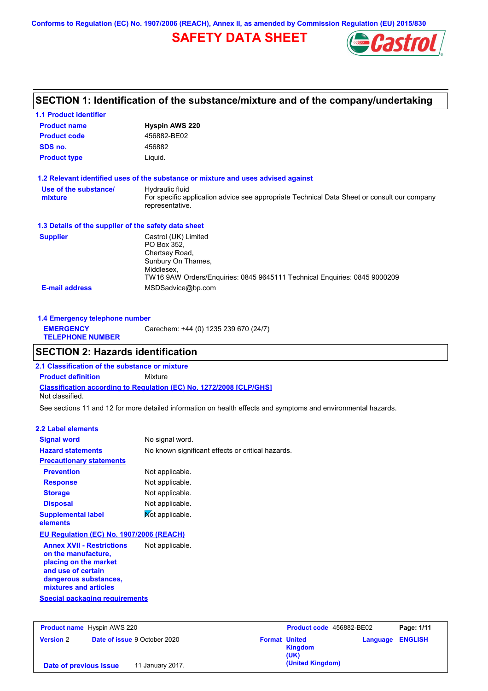**Conforms to Regulation (EC) No. 1907/2006 (REACH), Annex II, as amended by Commission Regulation (EU) 2015/830**

## **SAFETY DATA SHEET**



## **SECTION 1: Identification of the substance/mixture and of the company/undertaking**

| <b>1.1 Product identifier</b>                        |                                                                                                                                                                        |
|------------------------------------------------------|------------------------------------------------------------------------------------------------------------------------------------------------------------------------|
| <b>Product name</b>                                  | <b>Hyspin AWS 220</b>                                                                                                                                                  |
| <b>Product code</b>                                  | 456882-BE02                                                                                                                                                            |
| SDS no.                                              | 456882                                                                                                                                                                 |
| <b>Product type</b>                                  | Liquid.                                                                                                                                                                |
|                                                      | 1.2 Relevant identified uses of the substance or mixture and uses advised against                                                                                      |
| Use of the substance/<br>mixture                     | Hydraulic fluid<br>For specific application advice see appropriate Technical Data Sheet or consult our company<br>representative.                                      |
| 1.3 Details of the supplier of the safety data sheet |                                                                                                                                                                        |
| <b>Supplier</b>                                      | Castrol (UK) Limited<br>PO Box 352.<br>Chertsey Road,<br>Sunbury On Thames,<br>Middlesex.<br>TW16 9AW Orders/Enquiries: 0845 9645111 Technical Enquiries: 0845 9000209 |
| <b>E-mail address</b>                                | MSDSadvice@bp.com                                                                                                                                                      |

| 1.4 Emergency telephone number              |                                       |
|---------------------------------------------|---------------------------------------|
| <b>EMERGENCY</b><br><b>TELEPHONE NUMBER</b> | Carechem: +44 (0) 1235 239 670 (24/7) |

## **SECTION 2: Hazards identification**

**Classification according to Regulation (EC) No. 1272/2008 [CLP/GHS] 2.1 Classification of the substance or mixture Product definition** Mixture Not classified.

See sections 11 and 12 for more detailed information on health effects and symptoms and environmental hazards.

#### **2.2 Label elements**

| <b>Signal word</b>                                                                                                                                       | No signal word.                                   |
|----------------------------------------------------------------------------------------------------------------------------------------------------------|---------------------------------------------------|
| <b>Hazard statements</b>                                                                                                                                 | No known significant effects or critical hazards. |
| <b>Precautionary statements</b>                                                                                                                          |                                                   |
| <b>Prevention</b>                                                                                                                                        | Not applicable.                                   |
| <b>Response</b>                                                                                                                                          | Not applicable.                                   |
| <b>Storage</b>                                                                                                                                           | Not applicable.                                   |
| <b>Disposal</b>                                                                                                                                          | Not applicable.                                   |
| <b>Supplemental label</b><br>elements                                                                                                                    | Mot applicable.                                   |
| <b>EU Regulation (EC) No. 1907/2006 (REACH)</b>                                                                                                          |                                                   |
| <b>Annex XVII - Restrictions</b><br>on the manufacture,<br>placing on the market<br>and use of certain<br>dangerous substances,<br>mixtures and articles | Not applicable.                                   |
| <b>Special packaging requirements</b>                                                                                                                    |                                                   |

| <b>Product name</b> Hyspin AWS 220 |                                     | Product code 456882-BE02 |                  | Page: 1/11              |  |
|------------------------------------|-------------------------------------|--------------------------|------------------|-------------------------|--|
| <b>Version 2</b>                   | <b>Date of issue 9 October 2020</b> | <b>Format United</b>     | Kingdom<br>(UK)  | <b>Language ENGLISH</b> |  |
| Date of previous issue             | 11 January 2017.                    |                          | (United Kingdom) |                         |  |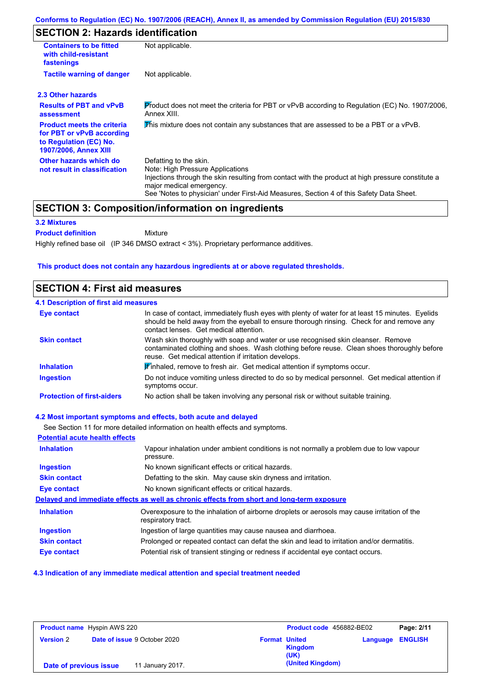## **SECTION 2: Hazards identification**

| <b>Containers to be fitted</b><br>with child-resistant<br>fastenings                                                     | Not applicable.                                                                                                                                                                                                                                                                        |  |  |  |
|--------------------------------------------------------------------------------------------------------------------------|----------------------------------------------------------------------------------------------------------------------------------------------------------------------------------------------------------------------------------------------------------------------------------------|--|--|--|
| <b>Tactile warning of danger</b>                                                                                         | Not applicable.                                                                                                                                                                                                                                                                        |  |  |  |
| 2.3 Other hazards                                                                                                        |                                                                                                                                                                                                                                                                                        |  |  |  |
| <b>Results of PBT and vPvB</b><br>assessment                                                                             | Product does not meet the criteria for PBT or vPvB according to Regulation (EC) No. 1907/2006.<br>Annex XIII.                                                                                                                                                                          |  |  |  |
| <b>Product meets the criteria</b><br>for PBT or vPvB according<br>to Regulation (EC) No.<br><b>1907/2006, Annex XIII</b> | This mixture does not contain any substances that are assessed to be a PBT or a vPvB.                                                                                                                                                                                                  |  |  |  |
| Other hazards which do<br>not result in classification                                                                   | Defatting to the skin.<br>Note: High Pressure Applications<br>Injections through the skin resulting from contact with the product at high pressure constitute a<br>major medical emergency.<br>See 'Notes to physician' under First-Aid Measures, Section 4 of this Safety Data Sheet. |  |  |  |

## **SECTION 3: Composition/information on ingredients**

Mixture

#### **3.2 Mixtures**

**Product definition**

Highly refined base oil (IP 346 DMSO extract < 3%). Proprietary performance additives.

#### **This product does not contain any hazardous ingredients at or above regulated thresholds.**

### **SECTION 4: First aid measures**

| <b>4.1 Description of first aid measures</b> |                                                                                                                                                                                                                                         |
|----------------------------------------------|-----------------------------------------------------------------------------------------------------------------------------------------------------------------------------------------------------------------------------------------|
| <b>Eye contact</b>                           | In case of contact, immediately flush eyes with plenty of water for at least 15 minutes. Eyelids<br>should be held away from the eyeball to ensure thorough rinsing. Check for and remove any<br>contact lenses. Get medical attention. |
| <b>Skin contact</b>                          | Wash skin thoroughly with soap and water or use recognised skin cleanser. Remove<br>contaminated clothing and shoes. Wash clothing before reuse. Clean shoes thoroughly before<br>reuse. Get medical attention if irritation develops.  |
| <b>Inhalation</b>                            | <b>If</b> inhaled, remove to fresh air. Get medical attention if symptoms occur.                                                                                                                                                        |
| <b>Ingestion</b>                             | Do not induce vomiting unless directed to do so by medical personnel. Get medical attention if<br>symptoms occur.                                                                                                                       |
| <b>Protection of first-aiders</b>            | No action shall be taken involving any personal risk or without suitable training.                                                                                                                                                      |

#### **4.2 Most important symptoms and effects, both acute and delayed**

See Section 11 for more detailed information on health effects and symptoms. **Potential acute health effects Inhalation** Vapour inhalation under ambient conditions is not normally a problem due to low vapour pressure. **Ingestion** No known significant effects or critical hazards. **Skin contact** Defatting to the skin. May cause skin dryness and irritation. **Eye contact** No known significant effects or critical hazards. **Delayed and immediate effects as well as chronic effects from short and long-term exposure Inhalation Ingestion Skin contact Eye contact** Overexposure to the inhalation of airborne droplets or aerosols may cause irritation of the respiratory tract. Ingestion of large quantities may cause nausea and diarrhoea. Prolonged or repeated contact can defat the skin and lead to irritation and/or dermatitis. Potential risk of transient stinging or redness if accidental eye contact occurs.

#### **4.3 Indication of any immediate medical attention and special treatment needed**

|                        | <b>Product name</b> Hyspin AWS 220  |                              | Product code 456882-BE02   | Page: 2/11     |
|------------------------|-------------------------------------|------------------------------|----------------------------|----------------|
| <b>Version 2</b>       | <b>Date of issue 9 October 2020</b> | <b>Format United</b><br>(UK) | Language<br><b>Kingdom</b> | <b>ENGLISH</b> |
| Date of previous issue | 11 January 2017.                    |                              | (United Kingdom)           |                |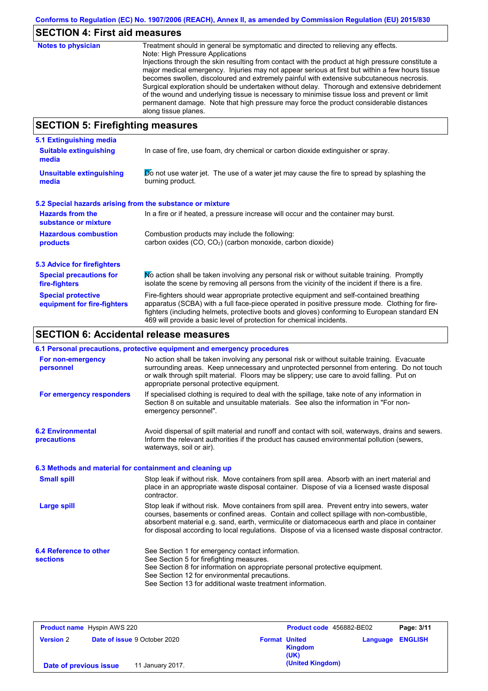# **SECTION 4: First aid measures**

| <b>Notes to physician</b>        | Treatment should in general be symptomatic and directed to relieving any effects.<br>Note: High Pressure Applications<br>Injections through the skin resulting from contact with the product at high pressure constitute a<br>major medical emergency. Injuries may not appear serious at first but within a few hours tissue<br>becomes swollen, discoloured and extremely painful with extensive subcutaneous necrosis.<br>Surgical exploration should be undertaken without delay. Thorough and extensive debridement<br>of the wound and underlying tissue is necessary to minimise tissue loss and prevent or limit<br>permanent damage. Note that high pressure may force the product considerable distances<br>along tissue planes. |
|----------------------------------|--------------------------------------------------------------------------------------------------------------------------------------------------------------------------------------------------------------------------------------------------------------------------------------------------------------------------------------------------------------------------------------------------------------------------------------------------------------------------------------------------------------------------------------------------------------------------------------------------------------------------------------------------------------------------------------------------------------------------------------------|
| CCCTION E. Eirefiabting measures |                                                                                                                                                                                                                                                                                                                                                                                                                                                                                                                                                                                                                                                                                                                                            |

### **SECTION 5: Firefighting measures**

| 5.1 Extinguishing media                                                                                                                                                                                                                                                                                                                                                                                                       |                                                                                     |  |  |
|-------------------------------------------------------------------------------------------------------------------------------------------------------------------------------------------------------------------------------------------------------------------------------------------------------------------------------------------------------------------------------------------------------------------------------|-------------------------------------------------------------------------------------|--|--|
| <b>Suitable extinguishing</b><br>media                                                                                                                                                                                                                                                                                                                                                                                        | In case of fire, use foam, dry chemical or carbon dioxide extinguisher or spray.    |  |  |
| $\triangleright$ not use water jet. The use of a water jet may cause the fire to spread by splashing the<br><b>Unsuitable extinguishing</b><br>burning product.<br>media                                                                                                                                                                                                                                                      |                                                                                     |  |  |
| 5.2 Special hazards arising from the substance or mixture                                                                                                                                                                                                                                                                                                                                                                     |                                                                                     |  |  |
| <b>Hazards from the</b><br>substance or mixture                                                                                                                                                                                                                                                                                                                                                                               | In a fire or if heated, a pressure increase will occur and the container may burst. |  |  |
| <b>Hazardous combustion</b><br>Combustion products may include the following:<br>carbon oxides (CO, CO <sub>2</sub> ) (carbon monoxide, carbon dioxide)<br>products                                                                                                                                                                                                                                                           |                                                                                     |  |  |
| <b>5.3 Advice for firefighters</b>                                                                                                                                                                                                                                                                                                                                                                                            |                                                                                     |  |  |
| No action shall be taken involving any personal risk or without suitable training. Promptly<br><b>Special precautions for</b><br>isolate the scene by removing all persons from the vicinity of the incident if there is a fire.<br>fire-fighters                                                                                                                                                                             |                                                                                     |  |  |
| Fire-fighters should wear appropriate protective equipment and self-contained breathing<br><b>Special protective</b><br>apparatus (SCBA) with a full face-piece operated in positive pressure mode. Clothing for fire-<br>equipment for fire-fighters<br>fighters (including helmets, protective boots and gloves) conforming to European standard EN<br>469 will provide a basic level of protection for chemical incidents. |                                                                                     |  |  |

## **SECTION 6: Accidental release measures**

|                                                          | 6.1 Personal precautions, protective equipment and emergency procedures                                                                                                                                                                                                                                                                                                                        |
|----------------------------------------------------------|------------------------------------------------------------------------------------------------------------------------------------------------------------------------------------------------------------------------------------------------------------------------------------------------------------------------------------------------------------------------------------------------|
| For non-emergency<br>personnel                           | No action shall be taken involving any personal risk or without suitable training. Evacuate<br>surrounding areas. Keep unnecessary and unprotected personnel from entering. Do not touch<br>or walk through spilt material. Floors may be slippery; use care to avoid falling. Put on<br>appropriate personal protective equipment.                                                            |
| For emergency responders                                 | If specialised clothing is required to deal with the spillage, take note of any information in<br>Section 8 on suitable and unsuitable materials. See also the information in "For non-<br>emergency personnel".                                                                                                                                                                               |
| <b>6.2 Environmental</b><br><b>precautions</b>           | Avoid dispersal of spilt material and runoff and contact with soil, waterways, drains and sewers.<br>Inform the relevant authorities if the product has caused environmental pollution (sewers,<br>waterways, soil or air).                                                                                                                                                                    |
| 6.3 Methods and material for containment and cleaning up |                                                                                                                                                                                                                                                                                                                                                                                                |
| <b>Small spill</b>                                       | Stop leak if without risk. Move containers from spill area. Absorb with an inert material and<br>place in an appropriate waste disposal container. Dispose of via a licensed waste disposal<br>contractor.                                                                                                                                                                                     |
| <b>Large spill</b>                                       | Stop leak if without risk. Move containers from spill area. Prevent entry into sewers, water<br>courses, basements or confined areas. Contain and collect spillage with non-combustible,<br>absorbent material e.g. sand, earth, vermiculite or diatomaceous earth and place in container<br>for disposal according to local regulations. Dispose of via a licensed waste disposal contractor. |
| 6.4 Reference to other<br><b>sections</b>                | See Section 1 for emergency contact information.<br>See Section 5 for firefighting measures.<br>See Section 8 for information on appropriate personal protective equipment.<br>See Section 12 for environmental precautions.<br>See Section 13 for additional waste treatment information.                                                                                                     |

| <b>Product name</b> Hyspin AWS 220 |                                     | Product code 456882-BE02 |                  | Page: 3/11 |                         |
|------------------------------------|-------------------------------------|--------------------------|------------------|------------|-------------------------|
| <b>Version 2</b>                   | <b>Date of issue 9 October 2020</b> | <b>Format United</b>     | Kingdom<br>(UK)  |            | <b>Language ENGLISH</b> |
| Date of previous issue             | 11 January 2017.                    |                          | (United Kingdom) |            |                         |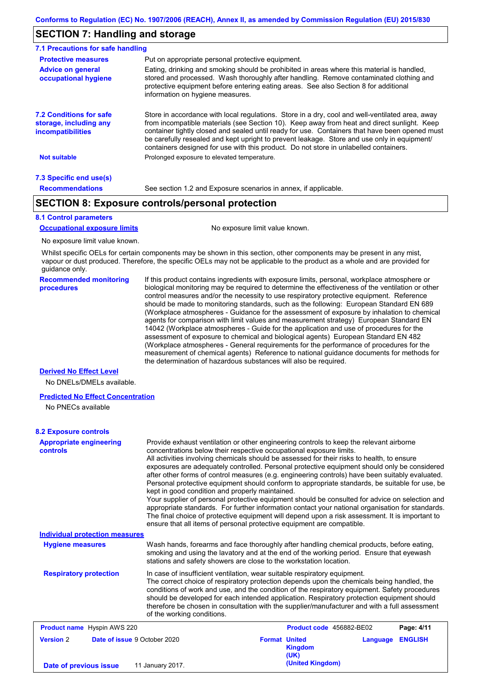## **SECTION 7: Handling and storage**

| 7.1 Precautions for safe handling                                                    |                                                                                                                                                                                                                                                                                                                                                                                                                                                                                          |
|--------------------------------------------------------------------------------------|------------------------------------------------------------------------------------------------------------------------------------------------------------------------------------------------------------------------------------------------------------------------------------------------------------------------------------------------------------------------------------------------------------------------------------------------------------------------------------------|
| <b>Protective measures</b>                                                           | Put on appropriate personal protective equipment.                                                                                                                                                                                                                                                                                                                                                                                                                                        |
| <b>Advice on general</b><br>occupational hygiene                                     | Eating, drinking and smoking should be prohibited in areas where this material is handled.<br>stored and processed. Wash thoroughly after handling. Remove contaminated clothing and<br>protective equipment before entering eating areas. See also Section 8 for additional<br>information on hygiene measures.                                                                                                                                                                         |
| <b>7.2 Conditions for safe</b><br>storage, including any<br><i>incompatibilities</i> | Store in accordance with local requiations. Store in a dry, cool and well-ventilated area, away<br>from incompatible materials (see Section 10). Keep away from heat and direct sunlight. Keep<br>container tightly closed and sealed until ready for use. Containers that have been opened must<br>be carefully resealed and kept upright to prevent leakage. Store and use only in equipment/<br>containers designed for use with this product. Do not store in unlabelled containers. |
| Not suitable                                                                         | Prolonged exposure to elevated temperature.                                                                                                                                                                                                                                                                                                                                                                                                                                              |
| 7.3 Specific end use(s)                                                              |                                                                                                                                                                                                                                                                                                                                                                                                                                                                                          |
| <b>Recommendations</b>                                                               | See section 1.2 and Exposure scenarios in annex, if applicable.                                                                                                                                                                                                                                                                                                                                                                                                                          |

## **SECTION 8: Exposure controls/personal protection**

#### **8.1 Control parameters**

**Occupational exposure limits** No exposure limit value known.

No exposure limit value known.

Whilst specific OELs for certain components may be shown in this section, other components may be present in any mist, vapour or dust produced. Therefore, the specific OELs may not be applicable to the product as a whole and are provided for guidance only.

**Recommended monitoring procedures** If this product contains ingredients with exposure limits, personal, workplace atmosphere or biological monitoring may be required to determine the effectiveness of the ventilation or other control measures and/or the necessity to use respiratory protective equipment. Reference should be made to monitoring standards, such as the following: European Standard EN 689 (Workplace atmospheres - Guidance for the assessment of exposure by inhalation to chemical agents for comparison with limit values and measurement strategy) European Standard EN 14042 (Workplace atmospheres - Guide for the application and use of procedures for the assessment of exposure to chemical and biological agents) European Standard EN 482 (Workplace atmospheres - General requirements for the performance of procedures for the measurement of chemical agents) Reference to national guidance documents for methods for the determination of hazardous substances will also be required.

#### **Derived No Effect Level**

No DNELs/DMELs available.

#### **Predicted No Effect Concentration**

No PNECs available

#### **8.2 Exposure controls**

| <b>Appropriate engineering</b><br>controls              |                                                                                                                                                                                                                                                                                                                                                                                                                                                                                                       | Provide exhaust ventilation or other engineering controls to keep the relevant airborne<br>concentrations below their respective occupational exposure limits.<br>All activities involving chemicals should be assessed for their risks to health, to ensure<br>exposures are adequately controlled. Personal protective equipment should only be considered<br>after other forms of control measures (e.g. engineering controls) have been suitably evaluated.<br>Personal protective equipment should conform to appropriate standards, be suitable for use, be<br>kept in good condition and properly maintained.<br>Your supplier of personal protective equipment should be consulted for advice on selection and<br>appropriate standards. For further information contact your national organisation for standards.<br>The final choice of protective equipment will depend upon a risk assessment. It is important to<br>ensure that all items of personal protective equipment are compatible. |                          |          |                |
|---------------------------------------------------------|-------------------------------------------------------------------------------------------------------------------------------------------------------------------------------------------------------------------------------------------------------------------------------------------------------------------------------------------------------------------------------------------------------------------------------------------------------------------------------------------------------|---------------------------------------------------------------------------------------------------------------------------------------------------------------------------------------------------------------------------------------------------------------------------------------------------------------------------------------------------------------------------------------------------------------------------------------------------------------------------------------------------------------------------------------------------------------------------------------------------------------------------------------------------------------------------------------------------------------------------------------------------------------------------------------------------------------------------------------------------------------------------------------------------------------------------------------------------------------------------------------------------------|--------------------------|----------|----------------|
| <b>Individual protection measures</b>                   |                                                                                                                                                                                                                                                                                                                                                                                                                                                                                                       |                                                                                                                                                                                                                                                                                                                                                                                                                                                                                                                                                                                                                                                                                                                                                                                                                                                                                                                                                                                                         |                          |          |                |
| <b>Hygiene measures</b>                                 | Wash hands, forearms and face thoroughly after handling chemical products, before eating,<br>smoking and using the lavatory and at the end of the working period. Ensure that eyewash<br>stations and safety showers are close to the workstation location.                                                                                                                                                                                                                                           |                                                                                                                                                                                                                                                                                                                                                                                                                                                                                                                                                                                                                                                                                                                                                                                                                                                                                                                                                                                                         |                          |          |                |
| <b>Respiratory protection</b>                           | In case of insufficient ventilation, wear suitable respiratory equipment.<br>The correct choice of respiratory protection depends upon the chemicals being handled, the<br>conditions of work and use, and the condition of the respiratory equipment. Safety procedures<br>should be developed for each intended application. Respiratory protection equipment should<br>therefore be chosen in consultation with the supplier/manufacturer and with a full assessment<br>of the working conditions. |                                                                                                                                                                                                                                                                                                                                                                                                                                                                                                                                                                                                                                                                                                                                                                                                                                                                                                                                                                                                         |                          |          |                |
| <b>Product name</b> Hyspin AWS 220                      |                                                                                                                                                                                                                                                                                                                                                                                                                                                                                                       |                                                                                                                                                                                                                                                                                                                                                                                                                                                                                                                                                                                                                                                                                                                                                                                                                                                                                                                                                                                                         | Product code 456882-BE02 |          | Page: 4/11     |
| <b>Version 2</b><br><b>Date of issue 9 October 2020</b> |                                                                                                                                                                                                                                                                                                                                                                                                                                                                                                       | <b>Format United</b>                                                                                                                                                                                                                                                                                                                                                                                                                                                                                                                                                                                                                                                                                                                                                                                                                                                                                                                                                                                    | <b>Kingdom</b><br>(UK)   | Language | <b>ENGLISH</b> |
| Date of previous issue                                  | 11 January 2017.                                                                                                                                                                                                                                                                                                                                                                                                                                                                                      |                                                                                                                                                                                                                                                                                                                                                                                                                                                                                                                                                                                                                                                                                                                                                                                                                                                                                                                                                                                                         | (United Kingdom)         |          |                |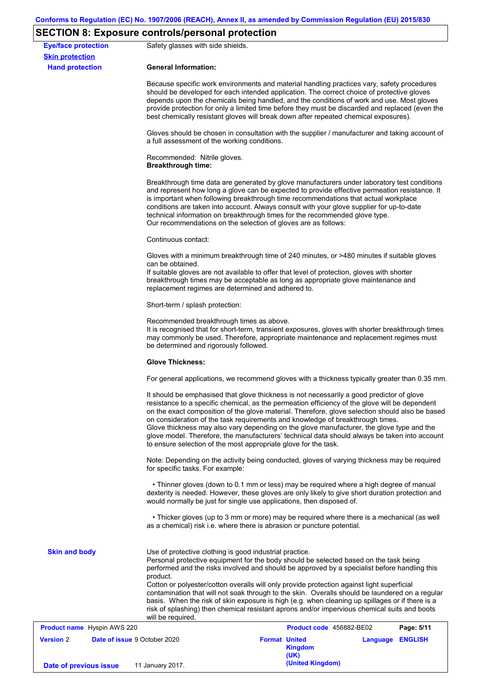## **SECTION 8: Exposure controls/personal protection**

| <b>Eye/face protection</b><br><b>Skin protection</b> | Safety glasses with side shields.                                                                                                                                                                                                                                                                                                                                                                                                                                                                                                                                                                                                                 |                                                |                  |  |  |
|------------------------------------------------------|---------------------------------------------------------------------------------------------------------------------------------------------------------------------------------------------------------------------------------------------------------------------------------------------------------------------------------------------------------------------------------------------------------------------------------------------------------------------------------------------------------------------------------------------------------------------------------------------------------------------------------------------------|------------------------------------------------|------------------|--|--|
| <b>Hand protection</b>                               | <b>General Information:</b>                                                                                                                                                                                                                                                                                                                                                                                                                                                                                                                                                                                                                       |                                                |                  |  |  |
|                                                      | Because specific work environments and material handling practices vary, safety procedures<br>should be developed for each intended application. The correct choice of protective gloves<br>depends upon the chemicals being handled, and the conditions of work and use. Most gloves<br>provide protection for only a limited time before they must be discarded and replaced (even the<br>best chemically resistant gloves will break down after repeated chemical exposures).                                                                                                                                                                  |                                                |                  |  |  |
|                                                      | Gloves should be chosen in consultation with the supplier / manufacturer and taking account of<br>a full assessment of the working conditions.                                                                                                                                                                                                                                                                                                                                                                                                                                                                                                    |                                                |                  |  |  |
|                                                      | Recommended: Nitrile gloves.<br><b>Breakthrough time:</b>                                                                                                                                                                                                                                                                                                                                                                                                                                                                                                                                                                                         |                                                |                  |  |  |
|                                                      | Breakthrough time data are generated by glove manufacturers under laboratory test conditions<br>and represent how long a glove can be expected to provide effective permeation resistance. It<br>is important when following breakthrough time recommendations that actual workplace<br>conditions are taken into account. Always consult with your glove supplier for up-to-date<br>technical information on breakthrough times for the recommended glove type.<br>Our recommendations on the selection of gloves are as follows:                                                                                                                |                                                |                  |  |  |
|                                                      | Continuous contact:                                                                                                                                                                                                                                                                                                                                                                                                                                                                                                                                                                                                                               |                                                |                  |  |  |
|                                                      | Gloves with a minimum breakthrough time of 240 minutes, or >480 minutes if suitable gloves<br>can be obtained.<br>If suitable gloves are not available to offer that level of protection, gloves with shorter<br>breakthrough times may be acceptable as long as appropriate glove maintenance and<br>replacement regimes are determined and adhered to.                                                                                                                                                                                                                                                                                          |                                                |                  |  |  |
|                                                      | Short-term / splash protection:                                                                                                                                                                                                                                                                                                                                                                                                                                                                                                                                                                                                                   |                                                |                  |  |  |
|                                                      | Recommended breakthrough times as above.<br>It is recognised that for short-term, transient exposures, gloves with shorter breakthrough times<br>may commonly be used. Therefore, appropriate maintenance and replacement regimes must<br>be determined and rigorously followed.                                                                                                                                                                                                                                                                                                                                                                  |                                                |                  |  |  |
|                                                      | <b>Glove Thickness:</b>                                                                                                                                                                                                                                                                                                                                                                                                                                                                                                                                                                                                                           |                                                |                  |  |  |
|                                                      | For general applications, we recommend gloves with a thickness typically greater than 0.35 mm.                                                                                                                                                                                                                                                                                                                                                                                                                                                                                                                                                    |                                                |                  |  |  |
|                                                      | It should be emphasised that glove thickness is not necessarily a good predictor of glove<br>resistance to a specific chemical, as the permeation efficiency of the glove will be dependent<br>on the exact composition of the glove material. Therefore, glove selection should also be based<br>on consideration of the task requirements and knowledge of breakthrough times.<br>Glove thickness may also vary depending on the glove manufacturer, the glove type and the<br>glove model. Therefore, the manufacturers' technical data should always be taken into account<br>to ensure selection of the most appropriate glove for the task. |                                                |                  |  |  |
|                                                      | Note: Depending on the activity being conducted, gloves of varying thickness may be required<br>for specific tasks. For example:                                                                                                                                                                                                                                                                                                                                                                                                                                                                                                                  |                                                |                  |  |  |
|                                                      | • Thinner gloves (down to 0.1 mm or less) may be required where a high degree of manual<br>dexterity is needed. However, these gloves are only likely to give short duration protection and<br>would normally be just for single use applications, then disposed of.                                                                                                                                                                                                                                                                                                                                                                              |                                                |                  |  |  |
|                                                      | • Thicker gloves (up to 3 mm or more) may be required where there is a mechanical (as well<br>as a chemical) risk i.e. where there is abrasion or puncture potential.                                                                                                                                                                                                                                                                                                                                                                                                                                                                             |                                                |                  |  |  |
| <b>Skin and body</b>                                 | Use of protective clothing is good industrial practice.<br>Personal protective equipment for the body should be selected based on the task being<br>performed and the risks involved and should be approved by a specialist before handling this<br>product.<br>Cotton or polyester/cotton overalls will only provide protection against light superficial<br>contamination that will not soak through to the skin. Overalls should be laundered on a regular<br>basis. When the risk of skin exposure is high (e.g. when cleaning up spillages or if there is a                                                                                  |                                                |                  |  |  |
|                                                      | risk of splashing) then chemical resistant aprons and/or impervious chemical suits and boots<br>will be required.                                                                                                                                                                                                                                                                                                                                                                                                                                                                                                                                 |                                                |                  |  |  |
| <b>Product name</b> Hyspin AWS 220                   |                                                                                                                                                                                                                                                                                                                                                                                                                                                                                                                                                                                                                                                   | Product code 456882-BE02                       | Page: 5/11       |  |  |
| <b>Version 2</b>                                     | <b>Date of issue 9 October 2020</b>                                                                                                                                                                                                                                                                                                                                                                                                                                                                                                                                                                                                               | <b>Format United</b><br><b>Kingdom</b><br>(UK) | Language ENGLISH |  |  |
| Date of previous issue                               | 11 January 2017.                                                                                                                                                                                                                                                                                                                                                                                                                                                                                                                                                                                                                                  | (United Kingdom)                               |                  |  |  |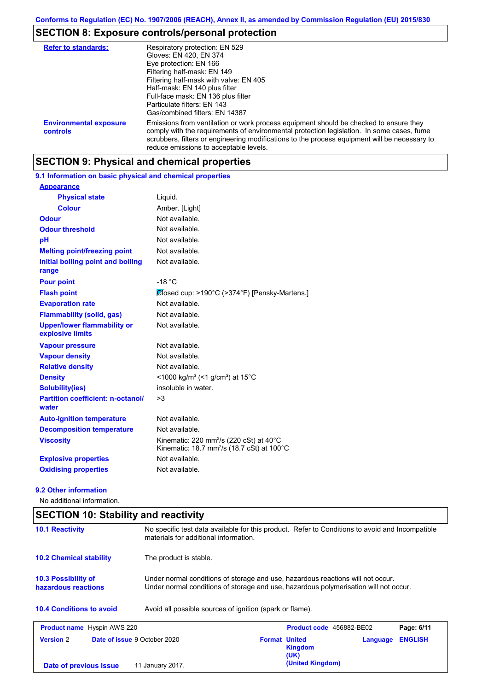## **SECTION 8: Exposure controls/personal protection**

| <b>Refer to standards:</b>                | Respiratory protection: EN 529<br>Gloves: EN 420, EN 374<br>Eye protection: EN 166<br>Filtering half-mask: EN 149<br>Filtering half-mask with valve: EN 405<br>Half-mask: EN 140 plus filter<br>Full-face mask: EN 136 plus filter<br>Particulate filters: EN 143<br>Gas/combined filters: EN 14387                           |
|-------------------------------------------|-------------------------------------------------------------------------------------------------------------------------------------------------------------------------------------------------------------------------------------------------------------------------------------------------------------------------------|
| <b>Environmental exposure</b><br>controls | Emissions from ventilation or work process equipment should be checked to ensure they<br>comply with the requirements of environmental protection legislation. In some cases, fume<br>scrubbers, filters or engineering modifications to the process equipment will be necessary to<br>reduce emissions to acceptable levels. |

## **SECTION 9: Physical and chemical properties**

**9.1 Information on basic physical and chemical properties**

| <b>Appearance</b>                                      |                                                                                                                                    |
|--------------------------------------------------------|------------------------------------------------------------------------------------------------------------------------------------|
| <b>Physical state</b>                                  | Liquid.                                                                                                                            |
| <b>Colour</b>                                          | Amber. [Light]                                                                                                                     |
| <b>Odour</b>                                           | Not available.                                                                                                                     |
| <b>Odour threshold</b>                                 | Not available.                                                                                                                     |
| pH                                                     | Not available.                                                                                                                     |
| <b>Melting point/freezing point</b>                    | Not available.                                                                                                                     |
| Initial boiling point and boiling<br>range             | Not available.                                                                                                                     |
| <b>Pour point</b>                                      | $-18 °C$                                                                                                                           |
| <b>Flash point</b>                                     | Closed cup: >190°C (>374°F) [Pensky-Martens.]                                                                                      |
| <b>Evaporation rate</b>                                | Not available.                                                                                                                     |
| <b>Flammability (solid, gas)</b>                       | Not available.                                                                                                                     |
| <b>Upper/lower flammability or</b><br>explosive limits | Not available.                                                                                                                     |
| <b>Vapour pressure</b>                                 | Not available.                                                                                                                     |
| <b>Vapour density</b>                                  | Not available.                                                                                                                     |
| <b>Relative density</b>                                | Not available.                                                                                                                     |
| <b>Density</b>                                         | <1000 kg/m <sup>3</sup> (<1 g/cm <sup>3</sup> ) at 15 <sup>°</sup> C                                                               |
| <b>Solubility(ies)</b>                                 | insoluble in water.                                                                                                                |
| <b>Partition coefficient: n-octanol/</b><br>water      | >3                                                                                                                                 |
| <b>Auto-ignition temperature</b>                       | Not available.                                                                                                                     |
| <b>Decomposition temperature</b>                       | Not available.                                                                                                                     |
| <b>Viscosity</b>                                       | Kinematic: 220 mm <sup>2</sup> /s (220 cSt) at $40^{\circ}$ C<br>Kinematic: 18.7 mm <sup>2</sup> /s (18.7 cSt) at 100 $^{\circ}$ C |
| <b>Explosive properties</b>                            | Not available.                                                                                                                     |
| <b>Oxidising properties</b>                            | Not available.                                                                                                                     |

#### **9.2 Other information**

No additional information.

| <b>10.1 Reactivity</b>                            | No specific test data available for this product. Refer to Conditions to avoid and Incompatible<br>materials for additional information.                                |                                                |          |                |
|---------------------------------------------------|-------------------------------------------------------------------------------------------------------------------------------------------------------------------------|------------------------------------------------|----------|----------------|
| <b>10.2 Chemical stability</b>                    | The product is stable.                                                                                                                                                  |                                                |          |                |
| <b>10.3 Possibility of</b><br>hazardous reactions | Under normal conditions of storage and use, hazardous reactions will not occur.<br>Under normal conditions of storage and use, hazardous polymerisation will not occur. |                                                |          |                |
|                                                   |                                                                                                                                                                         |                                                |          |                |
| <b>10.4 Conditions to avoid</b>                   | Avoid all possible sources of ignition (spark or flame).                                                                                                                |                                                |          |                |
| <b>Product name</b> Hyspin AWS 220                |                                                                                                                                                                         | Product code 456882-BE02                       |          | Page: 6/11     |
| <b>Version 2</b>                                  | <b>Date of issue 9 October 2020</b>                                                                                                                                     | <b>Format United</b><br><b>Kingdom</b><br>(UK) | Language | <b>ENGLISH</b> |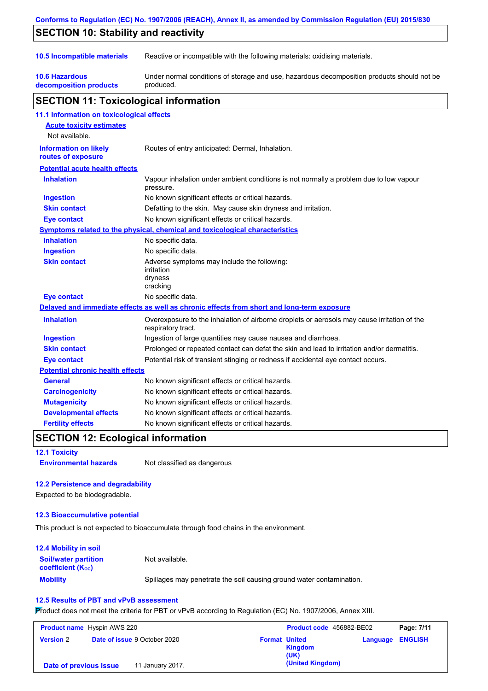| Conforms to Regulation (EC) No. 1907/2006 (REACH), Annex II, as amended by Commission Regulation (EU) 2015/830 |                                                                                                                   |  |  |
|----------------------------------------------------------------------------------------------------------------|-------------------------------------------------------------------------------------------------------------------|--|--|
| <b>SECTION 10: Stability and reactivity</b>                                                                    |                                                                                                                   |  |  |
| 10.5 Incompatible materials                                                                                    | Reactive or incompatible with the following materials: oxidising materials.                                       |  |  |
| <b>10.6 Hazardous</b><br>decomposition products                                                                | Under normal conditions of storage and use, hazardous decomposition products should not be<br>produced.           |  |  |
| <b>SECTION 11: Toxicological information</b>                                                                   |                                                                                                                   |  |  |
| 11.1 Information on toxicological effects                                                                      |                                                                                                                   |  |  |
| <b>Acute toxicity estimates</b><br>Not available.                                                              |                                                                                                                   |  |  |
| <b>Information on likely</b><br>routes of exposure                                                             | Routes of entry anticipated: Dermal, Inhalation.                                                                  |  |  |
| <b>Potential acute health effects</b>                                                                          |                                                                                                                   |  |  |
| <b>Inhalation</b>                                                                                              | Vapour inhalation under ambient conditions is not normally a problem due to low vapour<br>pressure.               |  |  |
| <b>Ingestion</b>                                                                                               | No known significant effects or critical hazards.                                                                 |  |  |
| <b>Skin contact</b>                                                                                            | Defatting to the skin. May cause skin dryness and irritation.                                                     |  |  |
| Eye contact                                                                                                    | No known significant effects or critical hazards.                                                                 |  |  |
|                                                                                                                | Symptoms related to the physical, chemical and toxicological characteristics                                      |  |  |
| <b>Inhalation</b>                                                                                              | No specific data.                                                                                                 |  |  |
| <b>Ingestion</b>                                                                                               | No specific data.                                                                                                 |  |  |
| <b>Skin contact</b>                                                                                            | Adverse symptoms may include the following:<br>irritation<br>dryness<br>cracking                                  |  |  |
| <b>Eye contact</b>                                                                                             | No specific data.                                                                                                 |  |  |
|                                                                                                                | Delayed and immediate effects as well as chronic effects from short and long-term exposure                        |  |  |
| <b>Inhalation</b>                                                                                              | Overexposure to the inhalation of airborne droplets or aerosols may cause irritation of the<br>respiratory tract. |  |  |
| Ingestion                                                                                                      | Ingestion of large quantities may cause nausea and diarrhoea.                                                     |  |  |
| <b>Skin contact</b>                                                                                            | Prolonged or repeated contact can defat the skin and lead to irritation and/or dermatitis.                        |  |  |
| <b>Eye contact</b>                                                                                             | Potential risk of transient stinging or redness if accidental eye contact occurs.                                 |  |  |
| <b>Potential chronic health effects</b>                                                                        |                                                                                                                   |  |  |
| <b>General</b>                                                                                                 | No known significant effects or critical hazards.                                                                 |  |  |
| <b>Carcinogenicity</b>                                                                                         | No known significant effects or critical hazards.                                                                 |  |  |
| <b>Mutagenicity</b>                                                                                            | No known significant effects or critical hazards.                                                                 |  |  |
| <b>Developmental effects</b>                                                                                   | No known significant effects or critical hazards.                                                                 |  |  |
| <b>Fertility effects</b>                                                                                       | No known significant effects or critical hazards.                                                                 |  |  |

## **SECTION 12: Ecological information**

#### **12.1 Toxicity**

**Environmental hazards** Not classified as dangerous

### **12.2 Persistence and degradability**

Expected to be biodegradable.

#### **12.3 Bioaccumulative potential**

This product is not expected to bioaccumulate through food chains in the environment.

| <b>12.4 Mobility in soil</b>                            |                                                                      |
|---------------------------------------------------------|----------------------------------------------------------------------|
| <b>Soil/water partition</b><br><b>coefficient (Koc)</b> | Not available.                                                       |
| <b>Mobility</b>                                         | Spillages may penetrate the soil causing ground water contamination. |

### **12.5 Results of PBT and vPvB assessment**

Product does not meet the criteria for PBT or vPvB according to Regulation (EC) No. 1907/2006, Annex XIII.

| <b>Product name</b> Hyspin AWS 220 |                                     |                      | Product code 456882-BE02 |                         | Page: 7/11 |
|------------------------------------|-------------------------------------|----------------------|--------------------------|-------------------------|------------|
| <b>Version 2</b>                   | <b>Date of issue 9 October 2020</b> | <b>Format United</b> | <b>Kingdom</b><br>(UK)   | <b>Language ENGLISH</b> |            |
| Date of previous issue             | 11 January 2017.                    |                      | (United Kingdom)         |                         |            |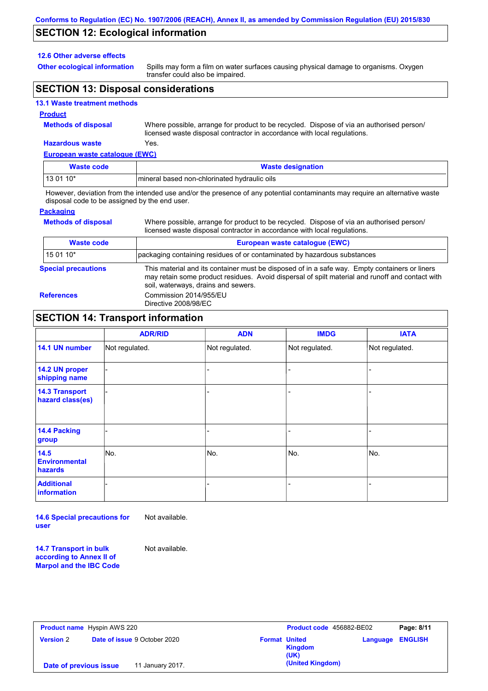## **SECTION 12: Ecological information**

#### **12.6 Other adverse effects**

**Other ecological information**

Spills may form a film on water surfaces causing physical damage to organisms. Oxygen transfer could also be impaired.

## **SECTION 13: Disposal considerations**

#### **13.1 Waste treatment methods**

#### **Product**

**Methods of disposal**

Where possible, arrange for product to be recycled. Dispose of via an authorised person/ licensed waste disposal contractor in accordance with local regulations.

Where possible, arrange for product to be recycled. Dispose of via an authorised person/

## **Hazardous waste** Yes.

| European waste catalogue (EWC) |                                              |  |
|--------------------------------|----------------------------------------------|--|
| Waste code                     | <b>Waste designation</b>                     |  |
| $130110*$                      | mineral based non-chlorinated hydraulic oils |  |

However, deviation from the intended use and/or the presence of any potential contaminants may require an alternative waste disposal code to be assigned by the end user.

#### **Packaging**

**Methods of disposal**

| licensed waste disposal contractor in accordance with local regulations. |                                                                                                                                                                                                                                         |  |  |
|--------------------------------------------------------------------------|-----------------------------------------------------------------------------------------------------------------------------------------------------------------------------------------------------------------------------------------|--|--|
| <b>Waste code</b>                                                        | European waste catalogue (EWC)                                                                                                                                                                                                          |  |  |
| 15 01 10*                                                                | packaging containing residues of or contaminated by hazardous substances                                                                                                                                                                |  |  |
| <b>Special precautions</b>                                               | This material and its container must be disposed of in a safe way. Empty containers or liners<br>may retain some product residues. Avoid dispersal of spilt material and runoff and contact with<br>soil, waterways, drains and sewers. |  |  |
| <b>References</b>                                                        | Commission 2014/955/EU<br>Directive 2008/98/EC                                                                                                                                                                                          |  |  |

### **SECTION 14: Transport information**

|                                           | <b>ADR/RID</b> | <b>ADN</b>     | <b>IMDG</b>    | <b>IATA</b>    |
|-------------------------------------------|----------------|----------------|----------------|----------------|
|                                           |                |                |                |                |
| 14.1 UN number                            | Not regulated. | Not regulated. | Not regulated. | Not regulated. |
| 14.2 UN proper<br>shipping name           |                |                |                |                |
| <b>14.3 Transport</b><br>hazard class(es) |                |                |                |                |
| 14.4 Packing<br>group                     |                |                |                |                |
| 14.5<br><b>Environmental</b><br>hazards   | No.            | No.            | No.            | No.            |
| <b>Additional</b><br>information          |                |                |                |                |

**14.6 Special precautions for user** Not available.

**14.7 Transport in bulk according to Annex II of Marpol and the IBC Code**

Not available.

|                        | <b>Product name</b> Hyspin AWS 220  | Product code 456882-BE02                | Page: 8/11              |
|------------------------|-------------------------------------|-----------------------------------------|-------------------------|
| <b>Version 2</b>       | <b>Date of issue 9 October 2020</b> | <b>Format United</b><br>Kingdom<br>(UK) | <b>Language ENGLISH</b> |
| Date of previous issue | 11 January 2017.                    | (United Kingdom)                        |                         |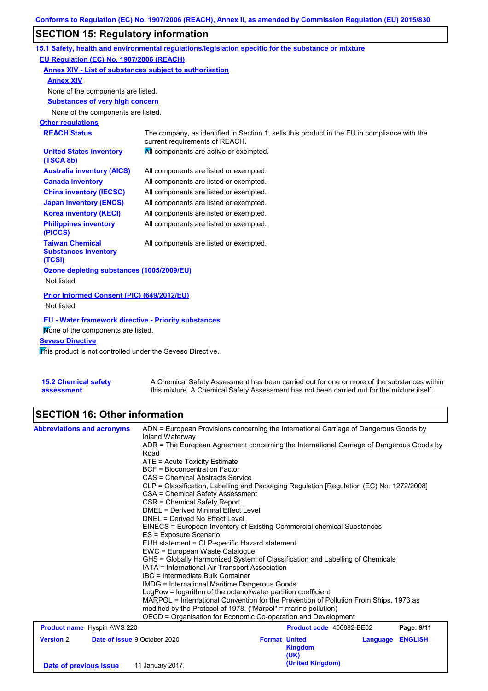# **SECTION 15: Regulatory information**

|                                                                 | 15.1 Safety, health and environmental regulations/legislation specific for the substance or mixture                            |
|-----------------------------------------------------------------|--------------------------------------------------------------------------------------------------------------------------------|
| EU Regulation (EC) No. 1907/2006 (REACH)                        |                                                                                                                                |
| Annex XIV - List of substances subject to authorisation         |                                                                                                                                |
| <b>Annex XIV</b>                                                |                                                                                                                                |
| None of the components are listed.                              |                                                                                                                                |
| <b>Substances of very high concern</b>                          |                                                                                                                                |
| None of the components are listed.                              |                                                                                                                                |
| <b>Other regulations</b>                                        |                                                                                                                                |
| <b>REACH Status</b>                                             | The company, as identified in Section 1, sells this product in the EU in compliance with the<br>current requirements of REACH. |
| <b>United States inventory</b><br>(TSCA 8b)                     | All components are active or exempted.                                                                                         |
| <b>Australia inventory (AICS)</b>                               | All components are listed or exempted.                                                                                         |
| <b>Canada inventory</b>                                         | All components are listed or exempted.                                                                                         |
| <b>China inventory (IECSC)</b>                                  | All components are listed or exempted.                                                                                         |
| <b>Japan inventory (ENCS)</b>                                   | All components are listed or exempted.                                                                                         |
| <b>Korea inventory (KECI)</b>                                   | All components are listed or exempted.                                                                                         |
| <b>Philippines inventory</b><br>(PICCS)                         | All components are listed or exempted.                                                                                         |
| <b>Taiwan Chemical</b><br><b>Substances Inventory</b><br>(TCSI) | All components are listed or exempted.                                                                                         |
| Ozone depleting substances (1005/2009/EU)                       |                                                                                                                                |
| Not listed.                                                     |                                                                                                                                |
| Prior Informed Consent (PIC) (649/2012/EU)                      |                                                                                                                                |
| Not listed.                                                     |                                                                                                                                |
| <b>EU - Water framework directive - Priority substances</b>     |                                                                                                                                |
| Mone of the components are listed.                              |                                                                                                                                |
| <b>Seveso Directive</b>                                         |                                                                                                                                |
| This product is not controlled under the Seveso Directive.      |                                                                                                                                |

| <b>15.2 Chemical safety</b> | A Chemical Safety Assessment has been carried out for one or more of the substances within  |
|-----------------------------|---------------------------------------------------------------------------------------------|
| assessment                  | this mixture. A Chemical Safety Assessment has not been carried out for the mixture itself. |

# **SECTION 16: Other information**

|                                                         | Inland Waterway<br>ADR = The European Agreement concerning the International Carriage of Dangerous Goods by |                      |                          |          |                |
|---------------------------------------------------------|-------------------------------------------------------------------------------------------------------------|----------------------|--------------------------|----------|----------------|
|                                                         |                                                                                                             |                      |                          |          |                |
|                                                         | Road                                                                                                        |                      |                          |          |                |
|                                                         | $ATE = Acute Toxicity Estimate$                                                                             |                      |                          |          |                |
|                                                         | <b>BCF</b> = Bioconcentration Factor                                                                        |                      |                          |          |                |
|                                                         | CAS = Chemical Abstracts Service                                                                            |                      |                          |          |                |
|                                                         | CLP = Classification, Labelling and Packaging Regulation [Regulation (EC) No. 1272/2008]                    |                      |                          |          |                |
|                                                         | CSA = Chemical Safety Assessment                                                                            |                      |                          |          |                |
|                                                         | CSR = Chemical Safety Report                                                                                |                      |                          |          |                |
|                                                         | DMEL = Derived Minimal Effect Level                                                                         |                      |                          |          |                |
|                                                         | DNEL = Derived No Effect Level                                                                              |                      |                          |          |                |
|                                                         | EINECS = European Inventory of Existing Commercial chemical Substances                                      |                      |                          |          |                |
|                                                         | ES = Exposure Scenario<br>EUH statement = CLP-specific Hazard statement                                     |                      |                          |          |                |
|                                                         | EWC = European Waste Catalogue                                                                              |                      |                          |          |                |
|                                                         | GHS = Globally Harmonized System of Classification and Labelling of Chemicals                               |                      |                          |          |                |
|                                                         | IATA = International Air Transport Association                                                              |                      |                          |          |                |
|                                                         | IBC = Intermediate Bulk Container                                                                           |                      |                          |          |                |
|                                                         | IMDG = International Maritime Dangerous Goods                                                               |                      |                          |          |                |
|                                                         | LogPow = logarithm of the octanol/water partition coefficient                                               |                      |                          |          |                |
|                                                         | MARPOL = International Convention for the Prevention of Pollution From Ships, 1973 as                       |                      |                          |          |                |
|                                                         | modified by the Protocol of 1978. ("Marpol" = marine pollution)                                             |                      |                          |          |                |
|                                                         | OECD = Organisation for Economic Co-operation and Development                                               |                      |                          |          |                |
| <b>Product name</b> Hyspin AWS 220                      |                                                                                                             |                      | Product code 456882-BE02 |          | Page: 9/11     |
| <b>Version 2</b><br><b>Date of issue 9 October 2020</b> |                                                                                                             | <b>Format United</b> |                          | Language | <b>ENGLISH</b> |
|                                                         |                                                                                                             |                      | <b>Kingdom</b>           |          |                |
|                                                         |                                                                                                             |                      | (UK)                     |          |                |
| Date of previous issue                                  | 11 January 2017.                                                                                            |                      | (United Kingdom)         |          |                |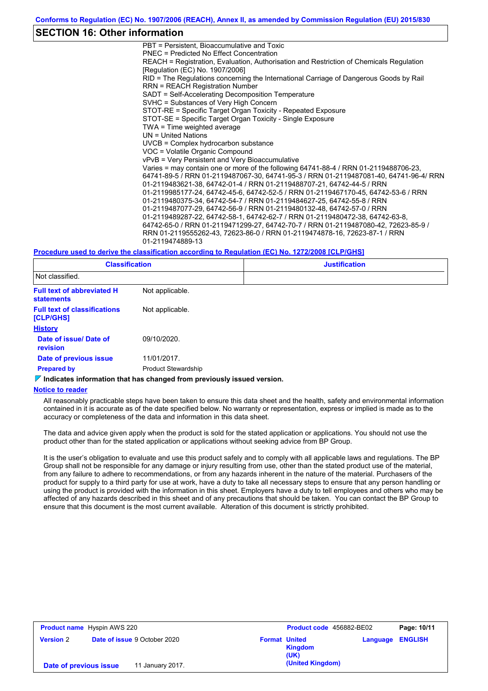### **SECTION 16: Other information**

PBT = Persistent, Bioaccumulative and Toxic PNEC = Predicted No Effect Concentration REACH = Registration, Evaluation, Authorisation and Restriction of Chemicals Regulation [Regulation (EC) No. 1907/2006] RID = The Regulations concerning the International Carriage of Dangerous Goods by Rail RRN = REACH Registration Number SADT = Self-Accelerating Decomposition Temperature SVHC = Substances of Very High Concern STOT-RE = Specific Target Organ Toxicity - Repeated Exposure STOT-SE = Specific Target Organ Toxicity - Single Exposure TWA = Time weighted average UN = United Nations UVCB = Complex hydrocarbon substance VOC = Volatile Organic Compound vPvB = Very Persistent and Very Bioaccumulative Varies = may contain one or more of the following 64741-88-4 / RRN 01-2119488706-23, 64741-89-5 / RRN 01-2119487067-30, 64741-95-3 / RRN 01-2119487081-40, 64741-96-4/ RRN 01-2119483621-38, 64742-01-4 / RRN 01-2119488707-21, 64742-44-5 / RRN 01-2119985177-24, 64742-45-6, 64742-52-5 / RRN 01-2119467170-45, 64742-53-6 / RRN 01-2119480375-34, 64742-54-7 / RRN 01-2119484627-25, 64742-55-8 / RRN 01-2119487077-29, 64742-56-9 / RRN 01-2119480132-48, 64742-57-0 / RRN 01-2119489287-22, 64742-58-1, 64742-62-7 / RRN 01-2119480472-38, 64742-63-8, 64742-65-0 / RRN 01-2119471299-27, 64742-70-7 / RRN 01-2119487080-42, 72623-85-9 / RRN 01-2119555262-43, 72623-86-0 / RRN 01-2119474878-16, 72623-87-1 / RRN 01-2119474889-13

#### **Procedure used to derive the classification according to Regulation (EC) No. 1272/2008 [CLP/GHS]**

| <b>Classification</b>                                  |                            | <b>Justification</b> |  |  |
|--------------------------------------------------------|----------------------------|----------------------|--|--|
| Not classified.                                        |                            |                      |  |  |
| <b>Full text of abbreviated H</b><br><b>statements</b> | Not applicable.            |                      |  |  |
| <b>Full text of classifications</b><br>[CLP/GHS]       | Not applicable.            |                      |  |  |
| <b>History</b>                                         |                            |                      |  |  |
| Date of issue/ Date of<br><b>revision</b>              | 09/10/2020.                |                      |  |  |
| Date of previous issue                                 | 11/01/2017.                |                      |  |  |
| <b>Prepared by</b>                                     | <b>Product Stewardship</b> |                      |  |  |

#### **Indicates information that has changed from previously issued version.**

#### **Notice to reader**

All reasonably practicable steps have been taken to ensure this data sheet and the health, safety and environmental information contained in it is accurate as of the date specified below. No warranty or representation, express or implied is made as to the accuracy or completeness of the data and information in this data sheet.

The data and advice given apply when the product is sold for the stated application or applications. You should not use the product other than for the stated application or applications without seeking advice from BP Group.

It is the user's obligation to evaluate and use this product safely and to comply with all applicable laws and regulations. The BP Group shall not be responsible for any damage or injury resulting from use, other than the stated product use of the material, from any failure to adhere to recommendations, or from any hazards inherent in the nature of the material. Purchasers of the product for supply to a third party for use at work, have a duty to take all necessary steps to ensure that any person handling or using the product is provided with the information in this sheet. Employers have a duty to tell employees and others who may be affected of any hazards described in this sheet and of any precautions that should be taken. You can contact the BP Group to ensure that this document is the most current available. Alteration of this document is strictly prohibited.

|                        | <b>Product name</b> Hyspin AWS 220  |                      | <b>Product code</b> 456882-BE02 |          | Page: 10/11    |
|------------------------|-------------------------------------|----------------------|---------------------------------|----------|----------------|
| <b>Version 2</b>       | <b>Date of issue 9 October 2020</b> | <b>Format United</b> | <b>Kingdom</b><br>(UK)          | Language | <b>ENGLISH</b> |
| Date of previous issue | 11 January 2017.                    |                      | (United Kingdom)                |          |                |